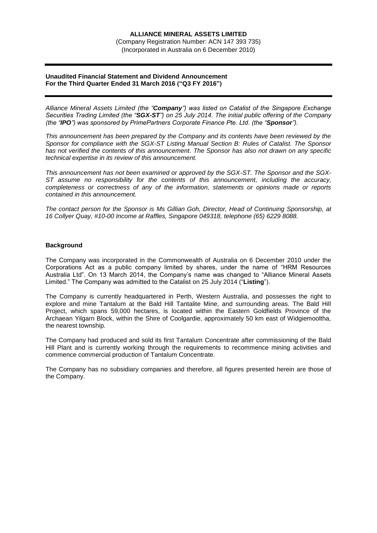(Company Registration Number: ACN 147 393 735) (Incorporated in Australia on 6 December 2010)

# **Unaudited Financial Statement and Dividend Announcement For the Third Quarter Ended 31 March 2016 ("Q3 FY 2016")**

*Alliance Mineral Assets Limited (the "Company") was listed on Catalist of the Singapore Exchange Securities Trading Limited (the "SGX-ST") on 25 July 2014. The initial public offering of the Company (the "IPO") was sponsored by PrimePartners Corporate Finance Pte. Ltd. (the "Sponsor").*

*This announcement has been prepared by the Company and its contents have been reviewed by the Sponsor for compliance with the SGX-ST Listing Manual Section B: Rules of Catalist. The Sponsor has not verified the contents of this announcement. The Sponsor has also not drawn on any specific technical expertise in its review of this announcement.*

*This announcement has not been examined or approved by the SGX-ST. The Sponsor and the SGX-ST assume no responsibility for the contents of this announcement, including the accuracy, completeness or correctness of any of the information, statements or opinions made or reports contained in this announcement.*

*The contact person for the Sponsor is Ms Gillian Goh, Director, Head of Continuing Sponsorship, at 16 Collyer Quay, #10-00 Income at Raffles, Singapore 049318, telephone (65) 6229 8088.*

# **Background**

The Company was incorporated in the Commonwealth of Australia on 6 December 2010 under the Corporations Act as a public company limited by shares, under the name of "HRM Resources Australia Ltd". On 13 March 2014, the Company's name was changed to "Alliance Mineral Assets Limited." The Company was admitted to the Catalist on 25 July 2014 ("**Listing**").

The Company is currently headquartered in Perth, Western Australia, and possesses the right to explore and mine Tantalum at the Bald Hill Tantalite Mine, and surrounding areas. The Bald Hill Project, which spans 59,000 hectares, is located within the Eastern Goldfields Province of the Archaean Yilgarn Block, within the Shire of Coolgardie, approximately 50 km east of Widgiemooltha, the nearest township.

The Company had produced and sold its first Tantalum Concentrate after commissioning of the Bald Hill Plant and is currently working through the requirements to recommence mining activities and commence commercial production of Tantalum Concentrate.

The Company has no subsidiary companies and therefore, all figures presented herein are those of the Company.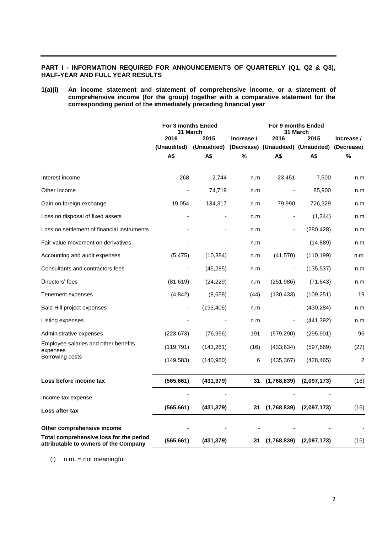# **PART I - INFORMATION REQUIRED FOR ANNOUNCEMENTS OF QUARTERLY (Q1, Q2 & Q3), HALF-YEAR AND FULL YEAR RESULTS**

# **1(a)(i) An income statement and statement of comprehensive income, or a statement of comprehensive income (for the group) together with a comparative statement for the corresponding period of the immediately preceding financial year**

|                                                                                  | For 3 months Ended<br>31 March |             |            | For 9 months Ended<br>31 March |                                    |                |
|----------------------------------------------------------------------------------|--------------------------------|-------------|------------|--------------------------------|------------------------------------|----------------|
|                                                                                  | 2016                           | 2015        | Increase / | 2016                           | 2015                               | Increase /     |
|                                                                                  | (Unaudited)                    | (Unaudited) |            |                                | (Decrease) (Unaudited) (Unaudited) | (Decrease)     |
|                                                                                  | A\$                            | A\$         | $\%$       | A\$                            | A\$                                | $\%$           |
| Interest income                                                                  | 268                            | 2,744       | n.m        | 23,451                         | 7,500                              | n.m            |
| Other Income                                                                     |                                | 74,719      | n.m        |                                | 85,900                             | n.m            |
| Gain on foreign exchange                                                         | 19,054                         | 134,317     | n.m        | 79,990                         | 726,329                            | n.m            |
| Loss on disposal of fixed assets                                                 |                                |             | n.m        | $\blacksquare$                 | (1,244)                            | n.m            |
| Loss on settlement of financial instruments                                      |                                |             | n.m        |                                | (280, 428)                         | n.m            |
| Fair value movement on derivatives                                               |                                |             | n.m        |                                | (14, 889)                          | n.m            |
| Accounting and audit expenses                                                    | (5, 475)                       | (10, 384)   | n.m        | (41, 570)                      | (110, 199)                         | n.m            |
| Consultants and contractors fees                                                 |                                | (45, 285)   | n.m        |                                | (135, 537)                         | n.m            |
| Directors' fees                                                                  | (81, 619)                      | (24, 229)   | n.m        | (251, 986)                     | (71, 643)                          | n.m            |
| Tenement expenses                                                                | (4, 842)                       | (8,658)     | (44)       | (130, 433)                     | (109, 251)                         | 19             |
| Bald Hill project expenses                                                       |                                | (193, 406)  | n.m        | $\blacksquare$                 | (430, 284)                         | n.m            |
| Listing expenses                                                                 |                                |             | n.m        |                                | (441, 392)                         | n.m            |
| Administrative expenses                                                          | (223, 673)                     | (76, 956)   | 191        | (579, 290)                     | (295, 901)                         | 96             |
| Employee salaries and other benefits<br>expenses                                 | (119, 791)                     | (143, 261)  | (16)       | (433, 634)                     | (597, 669)                         | (27)           |
| Borrowing costs                                                                  | (149, 583)                     | (140,980)   | 6          | (435, 367)                     | (428, 465)                         | $\overline{2}$ |
| Loss before income tax                                                           | (565, 661)                     | (431, 379)  | 31         | (1,768,839)                    | (2,097,173)                        | (16)           |
| Income tax expense                                                               |                                |             |            |                                |                                    |                |
| Loss after tax                                                                   | (565, 661)                     | (431, 379)  | 31         | (1,768,839)                    | (2,097,173)                        | (16)           |
|                                                                                  |                                |             |            |                                |                                    |                |
| Other comprehensive income                                                       |                                |             |            |                                |                                    |                |
| Total comprehensive loss for the period<br>attributable to owners of the Company | (565, 661)                     | (431, 379)  | 31         | (1,768,839)                    | (2,097,173)                        | (16)           |

 $(i)$  n.m. = not meaningful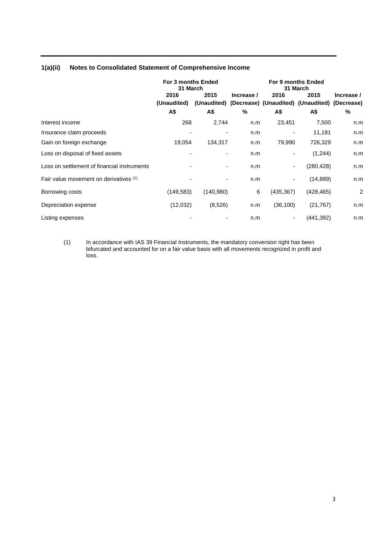|                                             | For 3 months Ended<br>31 March |           | For 9 months Ended<br>31 March |                          |                                                                   |                |
|---------------------------------------------|--------------------------------|-----------|--------------------------------|--------------------------|-------------------------------------------------------------------|----------------|
|                                             | 2016<br>(Unaudited)            | 2015      | Increase /                     | 2016                     | 2015<br>(Unaudited) (Decrease) (Unaudited) (Unaudited) (Decrease) | Increase /     |
|                                             | A\$                            | A\$       | %                              | A\$                      | А\$                                                               | %              |
| Interest income                             | 268                            | 2,744     | n.m                            | 23,451                   | 7,500                                                             | n.m            |
| Insurance claim proceeds                    | -                              |           | n.m                            |                          | 11,181                                                            | n.m            |
| Gain on foreign exchange                    | 19,054                         | 134,317   | n.m                            | 79,990                   | 726,329                                                           | n.m            |
| Loss on disposal of fixed assets            |                                |           | n.m                            | $\overline{\phantom{a}}$ | (1,244)                                                           | n.m            |
| Loss on settlement of financial instruments |                                |           | n.m                            | ٠                        | (280,428)                                                         | n.m            |
| Fair value movement on derivatives (1)      |                                |           | n.m                            | ۰                        | (14, 889)                                                         | n.m            |
| Borrowing costs                             | (149, 583)                     | (140,980) | 6                              | (435,367)                | (428, 465)                                                        | $\overline{2}$ |
| Depreciation expense                        | (12,032)                       | (8,526)   | n.m                            | (36, 100)                | (21, 767)                                                         | n.m            |
| Listing expenses                            |                                |           | n.m                            | ٠                        | (441,392)                                                         | n.m            |

# **1(a)(ii) Notes to Consolidated Statement of Comprehensive Income**

(1) In accordance with IAS 39 Financial Instruments, the mandatory conversion right has been bifurcated and accounted for on a fair value basis with all movements recognized in profit and loss.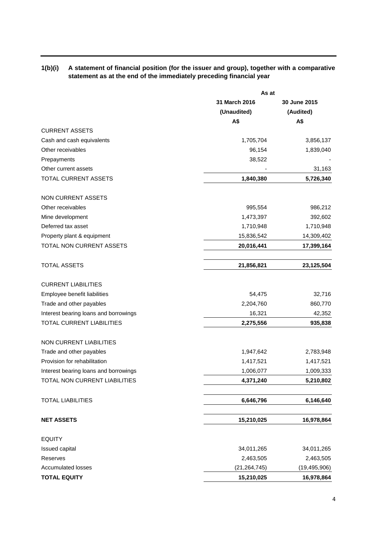# **1(b)(i) A statement of financial position (for the issuer and group), together with a comparative statement as at the end of the immediately preceding financial year**

| 31 March 2016<br>30 June 2015<br>(Unaudited)<br>(Audited)<br>A\$<br>A\$<br>Cash and cash equivalents<br>1,705,704<br>3,856,137<br>96,154<br>1,839,040<br>38,522<br>Prepayments<br>31,163<br>TOTAL CURRENT ASSETS<br>1,840,380<br>5,726,340<br><b>NON CURRENT ASSETS</b><br>986,212<br>995,554<br>1,473,397<br>Mine development<br>392,602<br>Deferred tax asset<br>1,710,948<br>1,710,948<br>Property plant & equipment<br>15,836,542<br>14,309,402<br>TOTAL NON CURRENT ASSETS<br>20,016,441<br>17,399,164<br><b>TOTAL ASSETS</b><br>21,856,821<br>23,125,504<br><b>CURRENT LIABILITIES</b><br>Employee benefit liabilities<br>54,475<br>32,716<br>Trade and other payables<br>2,204,760<br>860,770<br>Interest bearing loans and borrowings<br>16,321<br>42,352<br>TOTAL CURRENT LIABILITIES<br>2,275,556<br>935,838<br><b>NON CURRENT LIABILITIES</b><br>Trade and other payables<br>1,947,642<br>2,783,948<br>Provision for rehabilitation<br>1,417,521<br>1,417,521<br>1,009,333<br>1,006,077<br>Interest bearing loans and borrowings<br>4,371,240<br>5,210,802<br><b>TOTAL LIABILITIES</b><br>6,646,796<br>6,146,640<br><b>NET ASSETS</b><br>15,210,025<br>16,978,864<br><b>EQUITY</b><br>34,011,265<br>34,011,265<br><b>Issued capital</b><br>Reserves<br>2,463,505<br>2,463,505<br><b>Accumulated losses</b><br>(21, 264, 745)<br>(19, 495, 906)<br><b>TOTAL EQUITY</b><br>16,978,864<br>15,210,025 |                               | As at |  |  |  |
|--------------------------------------------------------------------------------------------------------------------------------------------------------------------------------------------------------------------------------------------------------------------------------------------------------------------------------------------------------------------------------------------------------------------------------------------------------------------------------------------------------------------------------------------------------------------------------------------------------------------------------------------------------------------------------------------------------------------------------------------------------------------------------------------------------------------------------------------------------------------------------------------------------------------------------------------------------------------------------------------------------------------------------------------------------------------------------------------------------------------------------------------------------------------------------------------------------------------------------------------------------------------------------------------------------------------------------------------------------------------------------------------------------------|-------------------------------|-------|--|--|--|
|                                                                                                                                                                                                                                                                                                                                                                                                                                                                                                                                                                                                                                                                                                                                                                                                                                                                                                                                                                                                                                                                                                                                                                                                                                                                                                                                                                                                              |                               |       |  |  |  |
|                                                                                                                                                                                                                                                                                                                                                                                                                                                                                                                                                                                                                                                                                                                                                                                                                                                                                                                                                                                                                                                                                                                                                                                                                                                                                                                                                                                                              |                               |       |  |  |  |
|                                                                                                                                                                                                                                                                                                                                                                                                                                                                                                                                                                                                                                                                                                                                                                                                                                                                                                                                                                                                                                                                                                                                                                                                                                                                                                                                                                                                              |                               |       |  |  |  |
|                                                                                                                                                                                                                                                                                                                                                                                                                                                                                                                                                                                                                                                                                                                                                                                                                                                                                                                                                                                                                                                                                                                                                                                                                                                                                                                                                                                                              | <b>CURRENT ASSETS</b>         |       |  |  |  |
|                                                                                                                                                                                                                                                                                                                                                                                                                                                                                                                                                                                                                                                                                                                                                                                                                                                                                                                                                                                                                                                                                                                                                                                                                                                                                                                                                                                                              |                               |       |  |  |  |
|                                                                                                                                                                                                                                                                                                                                                                                                                                                                                                                                                                                                                                                                                                                                                                                                                                                                                                                                                                                                                                                                                                                                                                                                                                                                                                                                                                                                              | Other receivables             |       |  |  |  |
|                                                                                                                                                                                                                                                                                                                                                                                                                                                                                                                                                                                                                                                                                                                                                                                                                                                                                                                                                                                                                                                                                                                                                                                                                                                                                                                                                                                                              |                               |       |  |  |  |
|                                                                                                                                                                                                                                                                                                                                                                                                                                                                                                                                                                                                                                                                                                                                                                                                                                                                                                                                                                                                                                                                                                                                                                                                                                                                                                                                                                                                              | Other current assets          |       |  |  |  |
|                                                                                                                                                                                                                                                                                                                                                                                                                                                                                                                                                                                                                                                                                                                                                                                                                                                                                                                                                                                                                                                                                                                                                                                                                                                                                                                                                                                                              |                               |       |  |  |  |
|                                                                                                                                                                                                                                                                                                                                                                                                                                                                                                                                                                                                                                                                                                                                                                                                                                                                                                                                                                                                                                                                                                                                                                                                                                                                                                                                                                                                              |                               |       |  |  |  |
|                                                                                                                                                                                                                                                                                                                                                                                                                                                                                                                                                                                                                                                                                                                                                                                                                                                                                                                                                                                                                                                                                                                                                                                                                                                                                                                                                                                                              | Other receivables             |       |  |  |  |
|                                                                                                                                                                                                                                                                                                                                                                                                                                                                                                                                                                                                                                                                                                                                                                                                                                                                                                                                                                                                                                                                                                                                                                                                                                                                                                                                                                                                              |                               |       |  |  |  |
|                                                                                                                                                                                                                                                                                                                                                                                                                                                                                                                                                                                                                                                                                                                                                                                                                                                                                                                                                                                                                                                                                                                                                                                                                                                                                                                                                                                                              |                               |       |  |  |  |
|                                                                                                                                                                                                                                                                                                                                                                                                                                                                                                                                                                                                                                                                                                                                                                                                                                                                                                                                                                                                                                                                                                                                                                                                                                                                                                                                                                                                              |                               |       |  |  |  |
|                                                                                                                                                                                                                                                                                                                                                                                                                                                                                                                                                                                                                                                                                                                                                                                                                                                                                                                                                                                                                                                                                                                                                                                                                                                                                                                                                                                                              |                               |       |  |  |  |
|                                                                                                                                                                                                                                                                                                                                                                                                                                                                                                                                                                                                                                                                                                                                                                                                                                                                                                                                                                                                                                                                                                                                                                                                                                                                                                                                                                                                              |                               |       |  |  |  |
|                                                                                                                                                                                                                                                                                                                                                                                                                                                                                                                                                                                                                                                                                                                                                                                                                                                                                                                                                                                                                                                                                                                                                                                                                                                                                                                                                                                                              |                               |       |  |  |  |
|                                                                                                                                                                                                                                                                                                                                                                                                                                                                                                                                                                                                                                                                                                                                                                                                                                                                                                                                                                                                                                                                                                                                                                                                                                                                                                                                                                                                              |                               |       |  |  |  |
|                                                                                                                                                                                                                                                                                                                                                                                                                                                                                                                                                                                                                                                                                                                                                                                                                                                                                                                                                                                                                                                                                                                                                                                                                                                                                                                                                                                                              |                               |       |  |  |  |
|                                                                                                                                                                                                                                                                                                                                                                                                                                                                                                                                                                                                                                                                                                                                                                                                                                                                                                                                                                                                                                                                                                                                                                                                                                                                                                                                                                                                              |                               |       |  |  |  |
|                                                                                                                                                                                                                                                                                                                                                                                                                                                                                                                                                                                                                                                                                                                                                                                                                                                                                                                                                                                                                                                                                                                                                                                                                                                                                                                                                                                                              |                               |       |  |  |  |
|                                                                                                                                                                                                                                                                                                                                                                                                                                                                                                                                                                                                                                                                                                                                                                                                                                                                                                                                                                                                                                                                                                                                                                                                                                                                                                                                                                                                              |                               |       |  |  |  |
|                                                                                                                                                                                                                                                                                                                                                                                                                                                                                                                                                                                                                                                                                                                                                                                                                                                                                                                                                                                                                                                                                                                                                                                                                                                                                                                                                                                                              |                               |       |  |  |  |
|                                                                                                                                                                                                                                                                                                                                                                                                                                                                                                                                                                                                                                                                                                                                                                                                                                                                                                                                                                                                                                                                                                                                                                                                                                                                                                                                                                                                              |                               |       |  |  |  |
|                                                                                                                                                                                                                                                                                                                                                                                                                                                                                                                                                                                                                                                                                                                                                                                                                                                                                                                                                                                                                                                                                                                                                                                                                                                                                                                                                                                                              |                               |       |  |  |  |
|                                                                                                                                                                                                                                                                                                                                                                                                                                                                                                                                                                                                                                                                                                                                                                                                                                                                                                                                                                                                                                                                                                                                                                                                                                                                                                                                                                                                              | TOTAL NON CURRENT LIABILITIES |       |  |  |  |
|                                                                                                                                                                                                                                                                                                                                                                                                                                                                                                                                                                                                                                                                                                                                                                                                                                                                                                                                                                                                                                                                                                                                                                                                                                                                                                                                                                                                              |                               |       |  |  |  |
|                                                                                                                                                                                                                                                                                                                                                                                                                                                                                                                                                                                                                                                                                                                                                                                                                                                                                                                                                                                                                                                                                                                                                                                                                                                                                                                                                                                                              |                               |       |  |  |  |
|                                                                                                                                                                                                                                                                                                                                                                                                                                                                                                                                                                                                                                                                                                                                                                                                                                                                                                                                                                                                                                                                                                                                                                                                                                                                                                                                                                                                              |                               |       |  |  |  |
|                                                                                                                                                                                                                                                                                                                                                                                                                                                                                                                                                                                                                                                                                                                                                                                                                                                                                                                                                                                                                                                                                                                                                                                                                                                                                                                                                                                                              |                               |       |  |  |  |
|                                                                                                                                                                                                                                                                                                                                                                                                                                                                                                                                                                                                                                                                                                                                                                                                                                                                                                                                                                                                                                                                                                                                                                                                                                                                                                                                                                                                              |                               |       |  |  |  |
|                                                                                                                                                                                                                                                                                                                                                                                                                                                                                                                                                                                                                                                                                                                                                                                                                                                                                                                                                                                                                                                                                                                                                                                                                                                                                                                                                                                                              |                               |       |  |  |  |
|                                                                                                                                                                                                                                                                                                                                                                                                                                                                                                                                                                                                                                                                                                                                                                                                                                                                                                                                                                                                                                                                                                                                                                                                                                                                                                                                                                                                              |                               |       |  |  |  |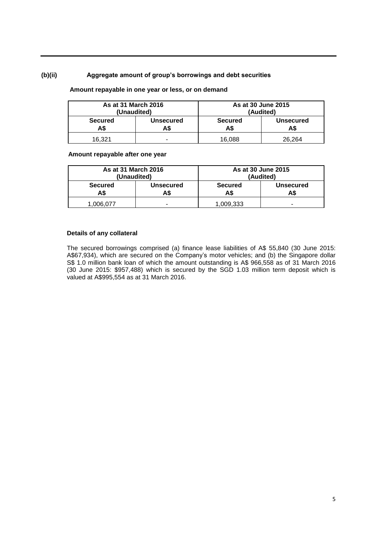# **(b)(ii) Aggregate amount of group's borrowings and debt securities**

# **Amount repayable in one year or less, or on demand**

| As at 31 March 2016   | (Unaudited)      |                       | As at 30 June 2015<br>(Audited) |
|-----------------------|------------------|-----------------------|---------------------------------|
| <b>Secured</b><br>A\$ | Unsecured<br>A\$ | <b>Secured</b><br>A\$ | <b>Unsecured</b>                |
| 16.321                |                  | 16,088                | 26,264                          |

## **Amount repayable after one year**

| As at 31 March 2016<br>(Unaudited) |                         |                       | As at 30 June 2015<br>(Audited) |
|------------------------------------|-------------------------|-----------------------|---------------------------------|
| <b>Secured</b><br>A\$              | <b>Unsecured</b><br>A\$ | <b>Secured</b><br>A\$ | <b>Unsecured</b>                |
| 1,006,077                          | $\blacksquare$          | 1.009.333             | -                               |

## **Details of any collateral**

The secured borrowings comprised (a) finance lease liabilities of A\$ 55,840 (30 June 2015: A\$67,934), which are secured on the Company's motor vehicles; and (b) the Singapore dollar S\$ 1.0 million bank loan of which the amount outstanding is A\$ 966,558 as of 31 March 2016 (30 June 2015: \$957,488) which is secured by the SGD 1.03 million term deposit which is valued at A\$995,554 as at 31 March 2016.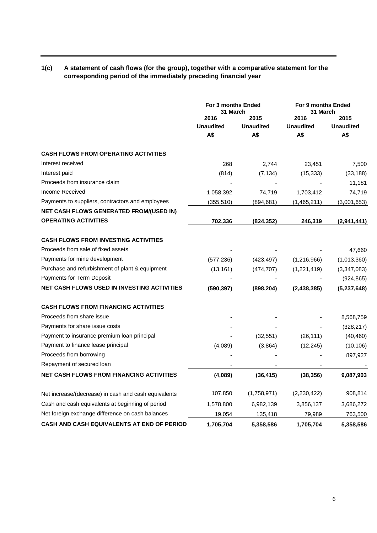# **1(c) A statement of cash flows (for the group), together with a comparative statement for the corresponding period of the immediately preceding financial year**

|                                                      | For 3 months Ended<br>31 March |                  | For 9 months Ended<br>31 March |                  |
|------------------------------------------------------|--------------------------------|------------------|--------------------------------|------------------|
|                                                      | 2016                           | 2015             | 2016                           | 2015             |
|                                                      | <b>Unaudited</b>               | <b>Unaudited</b> | <b>Unaudited</b>               | <b>Unaudited</b> |
|                                                      | A\$                            | A\$              | A\$                            | A\$              |
| <b>CASH FLOWS FROM OPERATING ACTIVITIES</b>          |                                |                  |                                |                  |
| Interest received                                    | 268                            | 2,744            | 23,451                         | 7,500            |
| Interest paid                                        | (814)                          | (7, 134)         | (15, 333)                      | (33, 188)        |
| Proceeds from insurance claim                        |                                |                  |                                | 11,181           |
| Income Received                                      | 1,058,392                      | 74,719           | 1,703,412                      | 74,719           |
| Payments to suppliers, contractors and employees     | (355, 510)                     | (894,681)        | (1,465,211)                    | (3,001,653)      |
| NET CASH FLOWS GENERATED FROM/(USED IN)              |                                |                  |                                |                  |
| <b>OPERATING ACTIVITIES</b>                          | 702,336                        | (824, 352)       | 246,319                        | (2,941,441)      |
| <b>CASH FLOWS FROM INVESTING ACTIVITIES</b>          |                                |                  |                                |                  |
| Proceeds from sale of fixed assets                   |                                |                  |                                | 47,660           |
| Payments for mine development                        | (577, 236)                     | (423, 497)       | (1,216,966)                    | (1,013,360)      |
| Purchase and refurbishment of plant & equipment      | (13, 161)                      | (474, 707)       | (1,221,419)                    | (3,347,083)      |
| Payments for Term Deposit                            |                                |                  |                                | (924, 865)       |
| NET CASH FLOWS USED IN INVESTING ACTIVITIES          | (590, 397)                     | (898,204)        | (2, 438, 385)                  | (5,237,648)      |
| <b>CASH FLOWS FROM FINANCING ACTIVITIES</b>          |                                |                  |                                |                  |
| Proceeds from share issue                            |                                |                  |                                | 8,568,759        |
| Payments for share issue costs                       |                                |                  |                                | (328, 217)       |
| Payment to insurance premium loan principal          |                                | (32, 551)        | (26, 111)                      | (40, 460)        |
| Payment to finance lease principal                   | (4,089)                        | (3,864)          | (12, 245)                      | (10, 106)        |
| Proceeds from borrowing                              |                                |                  |                                | 897,927          |
| Repayment of secured loan                            |                                |                  |                                |                  |
| <b>NET CASH FLOWS FROM FINANCING ACTIVITIES</b>      | (4,089)                        | (36, 415)        | (38, 356)                      | 9,087,903        |
|                                                      |                                |                  |                                |                  |
| Net increase/(decrease) in cash and cash equivalents | 107,850                        | (1,758,971)      | (2,230,422)                    | 908,814          |
| Cash and cash equivalents at beginning of period     | 1,578,800                      | 6,982,139        | 3,856,137                      | 3,686,272        |
| Net foreign exchange difference on cash balances     | 19,054                         | 135,418          | 79,989                         | 763,500          |
| CASH AND CASH EQUIVALENTS AT END OF PERIOD           | 1,705,704                      | 5,358,586        | 1,705,704                      | 5,358,586        |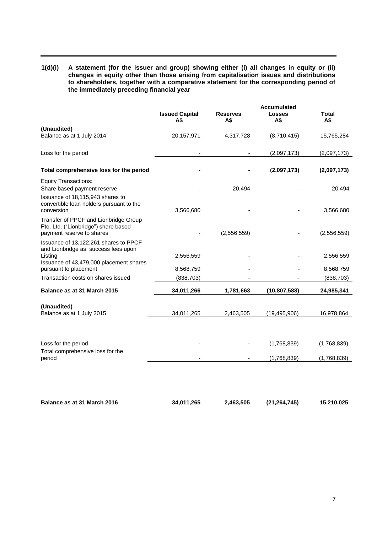**1(d)(i) A statement (for the issuer and group) showing either (i) all changes in equity or (ii) changes in equity other than those arising from capitalisation issues and distributions to shareholders, together with a comparative statement for the corresponding period of the immediately preceding financial year**

|                                                                                             | <b>Issued Capital</b> | <b>Reserves</b> | <b>Accumulated</b><br><b>Losses</b> | Total       |
|---------------------------------------------------------------------------------------------|-----------------------|-----------------|-------------------------------------|-------------|
|                                                                                             | A\$                   | A\$             | A\$                                 | A\$         |
| (Unaudited)<br>Balance as at 1 July 2014                                                    | 20, 157, 971          | 4,317,728       | (8,710,415)                         | 15,765,284  |
| Loss for the period                                                                         |                       |                 | (2,097,173)                         | (2,097,173) |
| Total comprehensive loss for the period                                                     |                       |                 | (2,097,173)                         | (2,097,173) |
| <b>Equity Transactions:</b><br>Share based payment reserve                                  |                       | 20,494          |                                     | 20,494      |
| Issuance of 18,115,943 shares to<br>convertible loan holders pursuant to the                |                       |                 |                                     |             |
| conversion<br>Transfer of PPCF and Lionbridge Group<br>Pte. Ltd. ("Lionbridge") share based | 3,566,680             |                 |                                     | 3,566,680   |
| payment reserve to shares                                                                   |                       | (2,556,559)     |                                     | (2,556,559) |
| Issuance of 13,122,261 shares to PPCF<br>and Lionbridge as success fees upon<br>Listing     | 2,556,559             |                 |                                     | 2,556,559   |
| Issuance of 43,479,000 placement shares<br>pursuant to placement                            | 8,568,759             |                 |                                     | 8,568,759   |
| Transaction costs on shares issued                                                          | (838, 703)            |                 |                                     | (838, 703)  |
| Balance as at 31 March 2015                                                                 | 34,011,266            | 1,781,663       | (10, 807, 588)                      | 24,985,341  |
| (Unaudited)<br>Balance as at 1 July 2015                                                    | 34,011,265            | 2,463,505       | (19, 495, 906)                      | 16,978,864  |
|                                                                                             |                       |                 |                                     |             |
| Loss for the period                                                                         |                       |                 | (1,768,839)                         | (1,768,839) |
| Total comprehensive loss for the<br>period                                                  |                       |                 | (1,768,839)                         | (1,768,839) |
|                                                                                             |                       |                 |                                     |             |
| Balance as at 31 March 2016                                                                 | 34,011,265            | 2,463,505       | (21, 264, 745)                      | 15,210,025  |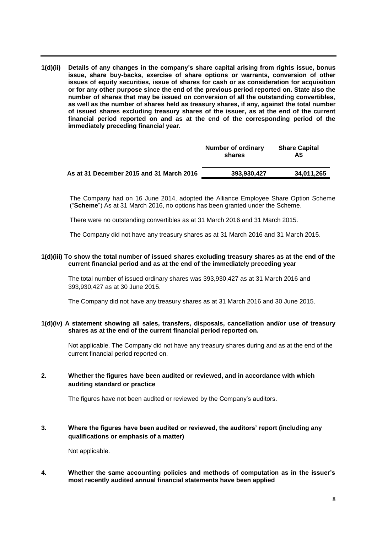**1(d)(ii) Details of any changes in the company's share capital arising from rights issue, bonus issue, share buy-backs, exercise of share options or warrants, conversion of other issues of equity securities, issue of shares for cash or as consideration for acquisition or for any other purpose since the end of the previous period reported on. State also the number of shares that may be issued on conversion of all the outstanding convertibles, as well as the number of shares held as treasury shares, if any, against the total number of issued shares excluding treasury shares of the issuer, as at the end of the current financial period reported on and as at the end of the corresponding period of the immediately preceding financial year.**

|                                          | Number of ordinary<br>shares | <b>Share Capital</b><br>A\$ |
|------------------------------------------|------------------------------|-----------------------------|
| As at 31 December 2015 and 31 March 2016 | 393.930.427                  | 34,011,265                  |

The Company had on 16 June 2014, adopted the Alliance Employee Share Option Scheme ("**Scheme**") As at 31 March 2016, no options has been granted under the Scheme.

There were no outstanding convertibles as at 31 March 2016 and 31 March 2015.

The Company did not have any treasury shares as at 31 March 2016 and 31 March 2015.

## **1(d)(iii) To show the total number of issued shares excluding treasury shares as at the end of the current financial period and as at the end of the immediately preceding year**

The total number of issued ordinary shares was 393,930,427 as at 31 March 2016 and 393,930,427 as at 30 June 2015.

The Company did not have any treasury shares as at 31 March 2016 and 30 June 2015.

## **1(d)(iv) A statement showing all sales, transfers, disposals, cancellation and/or use of treasury shares as at the end of the current financial period reported on.**

Not applicable. The Company did not have any treasury shares during and as at the end of the current financial period reported on.

# **2. Whether the figures have been audited or reviewed, and in accordance with which auditing standard or practice**

The figures have not been audited or reviewed by the Company's auditors.

# **3. Where the figures have been audited or reviewed, the auditors' report (including any qualifications or emphasis of a matter)**

Not applicable.

**4. Whether the same accounting policies and methods of computation as in the issuer's most recently audited annual financial statements have been applied**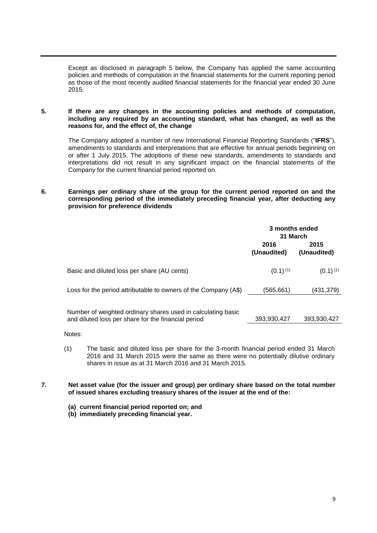Except as disclosed in paragraph 5 below, the Company has applied the same accounting policies and methods of computation in the financial statements for the current reporting period as those of the most recently audited financial statements for the financial year ended 30 June 2015.

## **5. If there are any changes in the accounting policies and methods of computation, including any required by an accounting standard, what has changed, as well as the reasons for, and the effect of, the change**

The Company adopted a number of new International Financial Reporting Standards ("**IFRS**"), amendments to standards and interpretations that are effective for annual periods beginning on or after 1 July 2015. The adoptions of these new standards, amendments to standards and interpretations did not result in any significant impact on the financial statements of the Company for the current financial period reported on.

# **6. Earnings per ordinary share of the group for the current period reported on and the corresponding period of the immediately preceding financial year, after deducting any provision for preference dividends**

|                                                                                                                     | 3 months ended<br>31 March |                     |  |
|---------------------------------------------------------------------------------------------------------------------|----------------------------|---------------------|--|
|                                                                                                                     | 2016<br>(Unaudited)        | 2015<br>(Unaudited) |  |
| Basic and diluted loss per share (AU cents)                                                                         | $(0.1)^{(1)}$              | $(0.1)^{(1)}$       |  |
| Loss for the period attributable to owners of the Company (A\$)                                                     | (565,661)                  | (431,379)           |  |
| Number of weighted ordinary shares used in calculating basic<br>and diluted loss per share for the financial period | 393,930,427                | 393,930,427         |  |

Notes:

- (1) The basic and diluted loss per share for the 3-month financial period ended 31 March 2016 and 31 March 2015 were the same as there were no potentially dilutive ordinary shares in issue as at 31 March 2016 and 31 March 2015.
- **7. Net asset value (for the issuer and group) per ordinary share based on the total number of issued shares excluding treasury shares of the issuer at the end of the:**
	- **(a) current financial period reported on; and**
	- **(b) immediately preceding financial year.**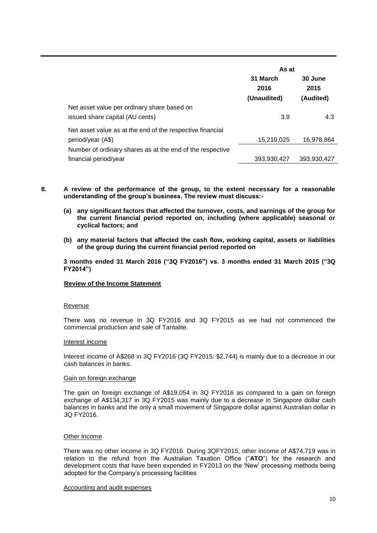|                                                                                    | As at              |                  |  |
|------------------------------------------------------------------------------------|--------------------|------------------|--|
|                                                                                    | 31 March<br>2016   | 30 June<br>2015  |  |
| Net asset value per ordinary share based on<br>issued share capital (AU cents)     | (Unaudited)<br>3.9 | (Audited)<br>4.3 |  |
| Net asset value as at the end of the respective financial<br>period/year (A\$)     | 15,210,025         | 16,978,864       |  |
| Number of ordinary shares as at the end of the respective<br>financial period/year | 393,930,427        | 393,930,427      |  |

- **8. A review of the performance of the group, to the extent necessary for a reasonable understanding of the group's business. The review must discuss:-**
	- **(a) any significant factors that affected the turnover, costs, and earnings of the group for the current financial period reported on, including (where applicable) seasonal or cyclical factors; and**
	- **(b) any material factors that affected the cash flow, working capital, assets or liabilities of the group during the current financial period reported on**

**3 months ended 31 March 2016 ("3Q FY2016") vs. 3 months ended 31 March 2015 ("3Q FY2014")**

#### **Review of the Income Statement**

#### Revenue

There was no revenue in 3Q FY2016 and 3Q FY2015 as we had not commenced the commercial production and sale of Tantalite.

#### Interest income

Interest income of A\$268 in 3Q FY2016 (3Q FY2015: \$2,744) is mainly due to a decrease in our cash balances in banks.

#### Gain on foreign exchange

The gain on foreign exchange of A\$19,054 in 3Q FY2016 as compared to a gain on foreign exchange of A\$134,317 in 3Q FY2015 was mainly due to a decrease in Singapore dollar cash balances in banks and the only a small movement of Singapore dollar against Australian dollar in 3Q FY2016.

#### Other Income

There was no other income in 3Q FY2016. During 3QFY2015, other income of A\$74,719 was in relation to the refund from the Australian Taxation Office ("**ATO**") for the research and development costs that have been expended in FY2013 on the 'New' processing methods being adopted for the Company's processing facilities

#### Accounting and audit expenses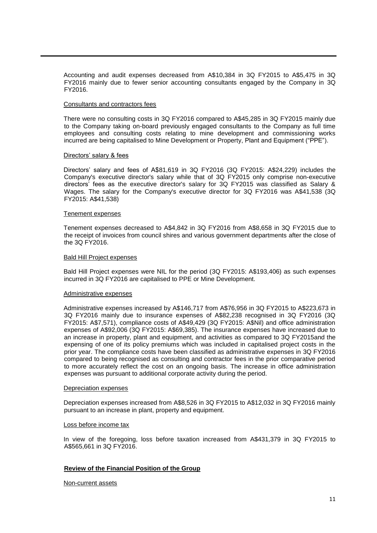Accounting and audit expenses decreased from A\$10,384 in 3Q FY2015 to A\$5,475 in 3Q FY2016 mainly due to fewer senior accounting consultants engaged by the Company in 3Q FY2016.

#### Consultants and contractors fees

There were no consulting costs in 3Q FY2016 compared to A\$45,285 in 3Q FY2015 mainly due to the Company taking on-board previously engaged consultants to the Company as full time employees and consulting costs relating to mine development and commissioning works incurred are being capitalised to Mine Development or Property, Plant and Equipment ("PPE").

#### Directors' salary & fees

Directors' salary and fees of A\$81,619 in 3Q FY2016 (3Q FY2015: A\$24,229) includes the Company's executive director's salary while that of 3Q FY2015 only comprise non-executive directors' fees as the executive director's salary for 3Q FY2015 was classified as Salary & Wages. The salary for the Company's executive director for 3Q FY2016 was A\$41,538 (3Q FY2015: A\$41,538)

#### Tenement expenses

Tenement expenses decreased to A\$4,842 in 3Q FY2016 from A\$8,658 in 3Q FY2015 due to the receipt of invoices from council shires and various government departments after the close of the 3Q FY2016.

#### Bald Hill Project expenses

Bald Hill Project expenses were NIL for the period (3Q FY2015: A\$193,406) as such expenses incurred in 3Q FY2016 are capitalised to PPE or Mine Development.

#### Administrative expenses

Administrative expenses increased by A\$146,717 from A\$76,956 in 3Q FY2015 to A\$223,673 in 3Q FY2016 mainly due to insurance expenses of A\$82,238 recognised in 3Q FY2016 (3Q FY2015: A\$7,571), compliance costs of A\$49,429 (3Q FY2015: A\$Nil) and office administration expenses of A\$92,006 (3Q FY2015: A\$69,385). The insurance expenses have increased due to an increase in property, plant and equipment, and activities as compared to 3Q FY2015and the expensing of one of its policy premiums which was included in capitalised project costs in the prior year. The compliance costs have been classified as administrative expenses in 3Q FY2016 compared to being recognised as consulting and contractor fees in the prior comparative period to more accurately reflect the cost on an ongoing basis. The increase in office administration expenses was pursuant to additional corporate activity during the period.

#### Depreciation expenses

Depreciation expenses increased from A\$8,526 in 3Q FY2015 to A\$12,032 in 3Q FY2016 mainly pursuant to an increase in plant, property and equipment.

#### Loss before income tax

In view of the foregoing, loss before taxation increased from A\$431,379 in 3Q FY2015 to A\$565,661 in 3Q FY2016.

## **Review of the Financial Position of the Group**

Non-current assets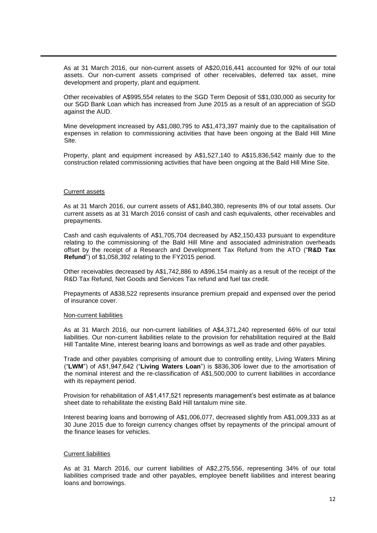As at 31 March 2016, our non-current assets of A\$20,016,441 accounted for 92% of our total assets. Our non-current assets comprised of other receivables, deferred tax asset, mine development and property, plant and equipment.

Other receivables of A\$995,554 relates to the SGD Term Deposit of S\$1,030,000 as security for our SGD Bank Loan which has increased from June 2015 as a result of an appreciation of SGD against the AUD.

Mine development increased by A\$1,080,795 to A\$1,473,397 mainly due to the capitalisation of expenses in relation to commissioning activities that have been ongoing at the Bald Hill Mine Site.

Property, plant and equipment increased by A\$1,527,140 to A\$15,836,542 mainly due to the construction related commissioning activities that have been ongoing at the Bald Hill Mine Site.

#### Current assets

As at 31 March 2016, our current assets of A\$1,840,380, represents 8% of our total assets. Our current assets as at 31 March 2016 consist of cash and cash equivalents, other receivables and prepayments.

Cash and cash equivalents of A\$1,705,704 decreased by A\$2,150,433 pursuant to expenditure relating to the commissioning of the Bald Hill Mine and associated administration overheads offset by the receipt of a Research and Development Tax Refund from the ATO ("**R&D Tax Refund**") of \$1,058,392 relating to the FY2015 period.

Other receivables decreased by A\$1,742,886 to A\$96,154 mainly as a result of the receipt of the R&D Tax Refund, Net Goods and Services Tax refund and fuel tax credit.

Prepayments of A\$38,522 represents insurance premium prepaid and expensed over the period of insurance cover.

#### Non-current liabilities

As at 31 March 2016, our non-current liabilities of A\$4,371,240 represented 66% of our total liabilities. Our non-current liabilities relate to the provision for rehabilitation required at the Bald Hill Tantalite Mine, interest bearing loans and borrowings as well as trade and other payables.

Trade and other payables comprising of amount due to controlling entity, Living Waters Mining ("**LWM**") of A\$1,947,642 ("**Living Waters Loan**") is \$836,306 lower due to the amortisation of the nominal interest and the re-classification of A\$1,500,000 to current liabilities in accordance with its repayment period.

Provision for rehabilitation of A\$1,417,521 represents management's best estimate as at balance sheet date to rehabilitate the existing Bald Hill tantalum mine site.

Interest bearing loans and borrowing of A\$1,006,077, decreased slightly from A\$1,009,333 as at 30 June 2015 due to foreign currency changes offset by repayments of the principal amount of the finance leases for vehicles.

# Current liabilities

As at 31 March 2016, our current liabilities of A\$2,275,556, representing 34% of our total liabilities comprised trade and other payables, employee benefit liabilities and interest bearing loans and borrowings.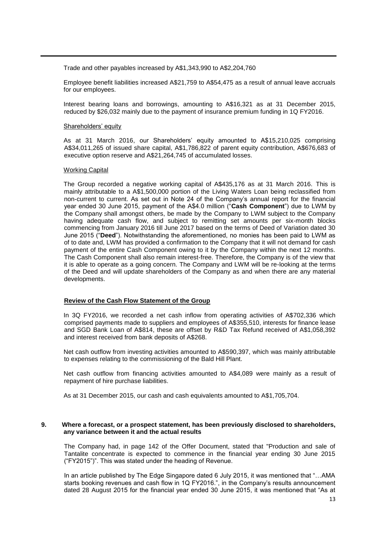Trade and other payables increased by A\$1,343,990 to A\$2,204,760

Employee benefit liabilities increased A\$21,759 to A\$54,475 as a result of annual leave accruals for our employees.

Interest bearing loans and borrowings, amounting to A\$16,321 as at 31 December 2015, reduced by \$26,032 mainly due to the payment of insurance premium funding in 1Q FY2016.

## Shareholders' equity

As at 31 March 2016, our Shareholders' equity amounted to A\$15,210,025 comprising A\$34,011,265 of issued share capital, A\$1,786,822 of parent equity contribution, A\$676,683 of executive option reserve and A\$21,264,745 of accumulated losses.

# Working Capital

The Group recorded a negative working capital of A\$435,176 as at 31 March 2016. This is mainly attributable to a A\$1,500,000 portion of the Living Waters Loan being reclassified from non-current to current. As set out in Note 24 of the Company's annual report for the financial year ended 30 June 2015, payment of the A\$4.0 million ("**Cash Component**") due to LWM by the Company shall amongst others, be made by the Company to LWM subject to the Company having adequate cash flow, and subject to remitting set amounts per six-month blocks commencing from January 2016 till June 2017 based on the terms of Deed of Variation dated 30 June 2015 ("**Deed**"). Notwithstanding the aforementioned, no monies has been paid to LWM as of to date and, LWM has provided a confirmation to the Company that it will not demand for cash payment of the entire Cash Component owing to it by the Company within the next 12 months. The Cash Component shall also remain interest-free. Therefore, the Company is of the view that it is able to operate as a going concern. The Company and LWM will be re-looking at the terms of the Deed and will update shareholders of the Company as and when there are any material developments.

## **Review of the Cash Flow Statement of the Group**

In 3Q FY2016, we recorded a net cash inflow from operating activities of A\$702,336 which comprised payments made to suppliers and employees of A\$355,510, interests for finance lease and SGD Bank Loan of A\$814, these are offset by R&D Tax Refund received of A\$1,058,392 and interest received from bank deposits of A\$268.

Net cash outflow from investing activities amounted to A\$590,397, which was mainly attributable to expenses relating to the commissioning of the Bald Hill Plant.

Net cash outflow from financing activities amounted to A\$4,089 were mainly as a result of repayment of hire purchase liabilities.

As at 31 December 2015, our cash and cash equivalents amounted to A\$1,705,704.

## **9. Where a forecast, or a prospect statement, has been previously disclosed to shareholders, any variance between it and the actual results**

The Company had, in page 142 of the Offer Document, stated that "Production and sale of Tantalite concentrate is expected to commence in the financial year ending 30 June 2015 ("FY2015")". This was stated under the heading of Revenue.

In an article published by The Edge Singapore dated 6 July 2015, it was mentioned that "…AMA starts booking revenues and cash flow in 1Q FY2016.", in the Company's results announcement dated 28 August 2015 for the financial year ended 30 June 2015, it was mentioned that "As at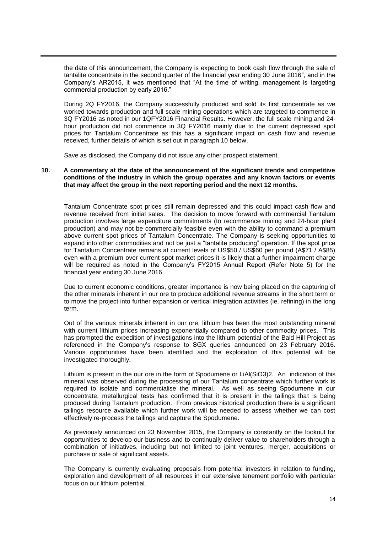the date of this announcement, the Company is expecting to book cash flow through the sale of tantalite concentrate in the second quarter of the financial year ending 30 June 2016", and in the Company's AR2015, it was mentioned that "At the time of writing, management is targeting commercial production by early 2016."

During 2Q FY2016, the Company successfully produced and sold its first concentrate as we worked towards production and full scale mining operations which are targeted to commence in 3Q FY2016 as noted in our 1QFY2016 Financial Results. However, the full scale mining and 24 hour production did not commence in 3Q FY2016 mainly due to the current depressed spot prices for Tantalum Concentrate as this has a significant impact on cash flow and revenue received, further details of which is set out in paragraph 10 below.

Save as disclosed, the Company did not issue any other prospect statement.

## **10. A commentary at the date of the announcement of the significant trends and competitive conditions of the industry in which the group operates and any known factors or events that may affect the group in the next reporting period and the next 12 months.**

Tantalum Concentrate spot prices still remain depressed and this could impact cash flow and revenue received from initial sales. The decision to move forward with commercial Tantalum production involves large expenditure commitments (to recommence mining and 24-hour plant production) and may not be commercially feasible even with the ability to command a premium above current spot prices of Tantalum Concentrate. The Company is seeking opportunities to expand into other commodities and not be just a "tantalite producing" operation. If the spot price for Tantalum Concentrate remains at current levels of US\$50 / US\$60 per pound (A\$71 / A\$85) even with a premium over current spot market prices it is likely that a further impairment charge will be required as noted in the Company's FY2015 Annual Report (Refer Note 5) for the financial year ending 30 June 2016.

Due to current economic conditions, greater importance is now being placed on the capturing of the other minerals inherent in our ore to produce additional revenue streams in the short term or to move the project into further expansion or vertical integration activities (ie. refining) in the long term.

Out of the various minerals inherent in our ore, lithium has been the most outstanding mineral with current lithium prices increasing exponentially compared to other commodity prices. This has prompted the expedition of investigations into the lithium potential of the Bald Hill Project as referenced in the Company's response to SGX queries announced on 23 February 2016. Various opportunities have been identified and the exploitation of this potential will be investigated thoroughly.

Lithium is present in the our ore in the form of Spodumene or LiAl(SiO3)2. An indication of this mineral was observed during the processing of our Tantalum concentrate which further work is required to isolate and commercialise the mineral. As well as seeing Spodumene in our concentrate, metallurgical tests has confirmed that it is present in the tailings that is being produced during Tantalum production. From previous historical production there is a significant tailings resource available which further work will be needed to assess whether we can cost effectively re-process the tailings and capture the Spodumene.

As previously announced on 23 November 2015, the Company is constantly on the lookout for opportunities to develop our business and to continually deliver value to shareholders through a combination of initiatives, including but not limited to joint ventures, merger, acquisitions or purchase or sale of significant assets.

The Company is currently evaluating proposals from potential investors in relation to funding, exploration and development of all resources in our extensive tenement portfolio with particular focus on our lithium potential.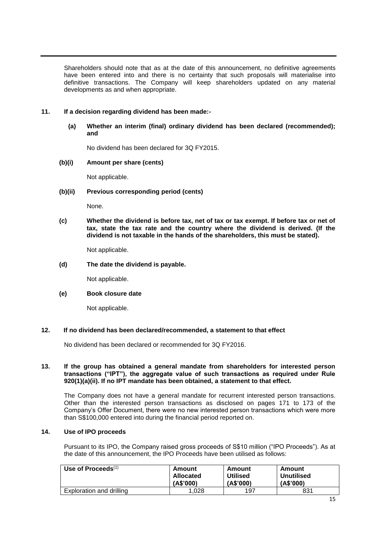Shareholders should note that as at the date of this announcement, no definitive agreements have been entered into and there is no certainty that such proposals will materialise into definitive transactions. The Company will keep shareholders updated on any material developments as and when appropriate.

# **11. If a decision regarding dividend has been made:-**

**(a) Whether an interim (final) ordinary dividend has been declared (recommended); and**

No dividend has been declared for 3Q FY2015.

**(b)(i) Amount per share (cents)**

Not applicable.

# **(b)(ii) Previous corresponding period (cents)**

None.

**(c) Whether the dividend is before tax, net of tax or tax exempt. If before tax or net of tax, state the tax rate and the country where the dividend is derived. (If the dividend is not taxable in the hands of the shareholders, this must be stated).**

Not applicable.

**(d) The date the dividend is payable.**

Not applicable.

## **(e) Book closure date**

Not applicable.

# **12. If no dividend has been declared/recommended, a statement to that effect**

No dividend has been declared or recommended for 3Q FY2016.

## **13. If the group has obtained a general mandate from shareholders for interested person transactions ("IPT"), the aggregate value of such transactions as required under Rule 920(1)(a)(ii). If no IPT mandate has been obtained, a statement to that effect.**

The Company does not have a general mandate for recurrent interested person transactions. Other than the interested person transactions as disclosed on pages 171 to 173 of the Company's Offer Document, there were no new interested person transactions which were more than S\$100,000 entered into during the financial period reported on.

## **14. Use of IPO proceeds**

Pursuant to its IPO, the Company raised gross proceeds of S\$10 million ("IPO Proceeds"). As at the date of this announcement, the IPO Proceeds have been utilised as follows:

| Use of Proceeds $(1)$    | Amount     | Amount          | Amount            |
|--------------------------|------------|-----------------|-------------------|
|                          | Allocated  | <b>Utilised</b> | <b>Unutilised</b> |
|                          | ( A\$'000) | ( A \$'000 )    | (A\$'000)         |
| Exploration and drilling | .028       | 197             | 831               |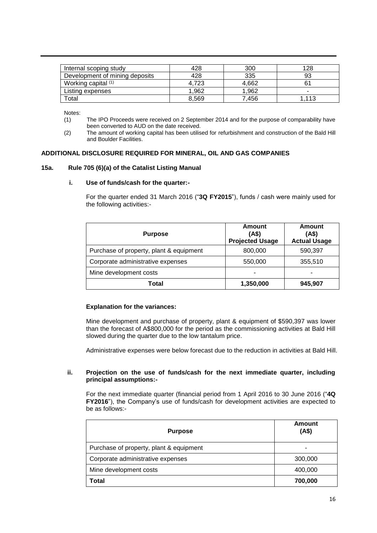| Internal scoping study         | 428   | 300   | 128   |
|--------------------------------|-------|-------|-------|
| Development of mining deposits | 428   | 335   | 93    |
| Working capital $(1)$          | 4.723 | 4.662 |       |
| Listing expenses               | .962  | 1.962 |       |
| Total                          | 8,569 | 7.456 | 1.113 |

Notes:

- (1) The IPO Proceeds were received on 2 September 2014 and for the purpose of comparability have been converted to AUD on the date received.
- (2) The amount of working capital has been utilised for refurbishment and construction of the Bald Hill and Boulder Facilities.

# **ADDITIONAL DISCLOSURE REQUIRED FOR MINERAL, OIL AND GAS COMPANIES**

## **15a. Rule 705 (6)(a) of the Catalist Listing Manual**

## **i. Use of funds/cash for the quarter:-**

For the quarter ended 31 March 2016 ("**3Q FY2015**"), funds / cash were mainly used for the following activities:-

| <b>Purpose</b>                          | Amount<br>(AS)<br><b>Projected Usage</b> | Amount<br>(AS)<br><b>Actual Usage</b> |
|-----------------------------------------|------------------------------------------|---------------------------------------|
| Purchase of property, plant & equipment | 800,000                                  | 590,397                               |
| Corporate administrative expenses       | 550,000                                  | 355,510                               |
| Mine development costs                  |                                          | -                                     |
| Total                                   | 1,350,000                                | 945,907                               |

## **Explanation for the variances:**

Mine development and purchase of property, plant & equipment of \$590,397 was lower than the forecast of A\$800,000 for the period as the commissioning activities at Bald Hill slowed during the quarter due to the low tantalum price.

Administrative expenses were below forecast due to the reduction in activities at Bald Hill.

# **ii. Projection on the use of funds/cash for the next immediate quarter, including principal assumptions:-**

For the next immediate quarter (financial period from 1 April 2016 to 30 June 2016 ("**4Q FY2016**"), the Company's use of funds/cash for development activities are expected to be as follows:-

| <b>Purpose</b>                          | Amount<br>(AS) |
|-----------------------------------------|----------------|
| Purchase of property, plant & equipment |                |
| Corporate administrative expenses       | 300,000        |
| Mine development costs                  | 400,000        |
| Total                                   | 700,000        |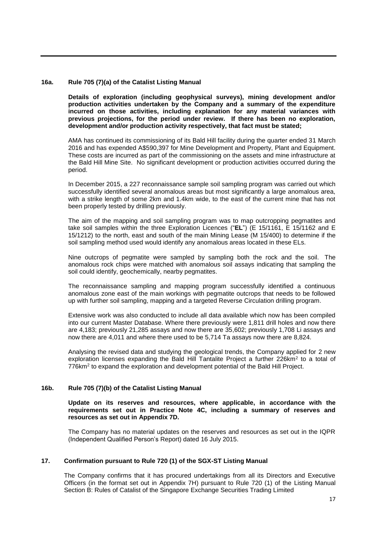# **16a. Rule 705 (7)(a) of the Catalist Listing Manual**

**Details of exploration (including geophysical surveys), mining development and/or production activities undertaken by the Company and a summary of the expenditure incurred on those activities, including explanation for any material variances with previous projections, for the period under review. If there has been no exploration, development and/or production activity respectively, that fact must be stated;**

AMA has continued its commissioning of its Bald Hill facility during the quarter ended 31 March 2016 and has expended A\$590,397 for Mine Development and Property, Plant and Equipment. These costs are incurred as part of the commissioning on the assets and mine infrastructure at the Bald Hill Mine Site. No significant development or production activities occurred during the period.

In December 2015, a 227 reconnaissance sample soil sampling program was carried out which successfully identified several anomalous areas but most significantly a large anomalous area, with a strike length of some 2km and 1.4km wide, to the east of the current mine that has not been properly tested by drilling previously.

The aim of the mapping and soil sampling program was to map outcropping pegmatites and take soil samples within the three Exploration Licences ("**EL**") (E 15/1161, E 15/1162 and E 15/1212) to the north, east and south of the main Mining Lease (M 15/400) to determine if the soil sampling method used would identify any anomalous areas located in these ELs.

Nine outcrops of pegmatite were sampled by sampling both the rock and the soil. The anomalous rock chips were matched with anomalous soil assays indicating that sampling the soil could identify, geochemically, nearby pegmatites.

The reconnaissance sampling and mapping program successfully identified a continuous anomalous zone east of the main workings with pegmatite outcrops that needs to be followed up with further soil sampling, mapping and a targeted Reverse Circulation drilling program.

Extensive work was also conducted to include all data available which now has been compiled into our current Master Database. Where there previously were 1,811 drill holes and now there are 4,183; previously 21,285 assays and now there are 35,602; previously 1,708 Li assays and now there are 4,011 and where there used to be 5,714 Ta assays now there are 8,824.

Analysing the revised data and studying the geological trends, the Company applied for 2 new exploration licenses expanding the Bald Hill Tantalite Project a further 226km<sup>2</sup> to a total of 776km<sup>2</sup> to expand the exploration and development potential of the Bald Hill Project.

# **16b. Rule 705 (7)(b) of the Catalist Listing Manual**

**Update on its reserves and resources, where applicable, in accordance with the requirements set out in Practice Note 4C, including a summary of reserves and resources as set out in Appendix 7D.**

The Company has no material updates on the reserves and resources as set out in the IQPR (Independent Qualified Person's Report) dated 16 July 2015.

# **17. Confirmation pursuant to Rule 720 (1) of the SGX-ST Listing Manual**

The Company confirms that it has procured undertakings from all its Directors and Executive Officers (in the format set out in Appendix 7H) pursuant to Rule 720 (1) of the Listing Manual Section B: Rules of Catalist of the Singapore Exchange Securities Trading Limited